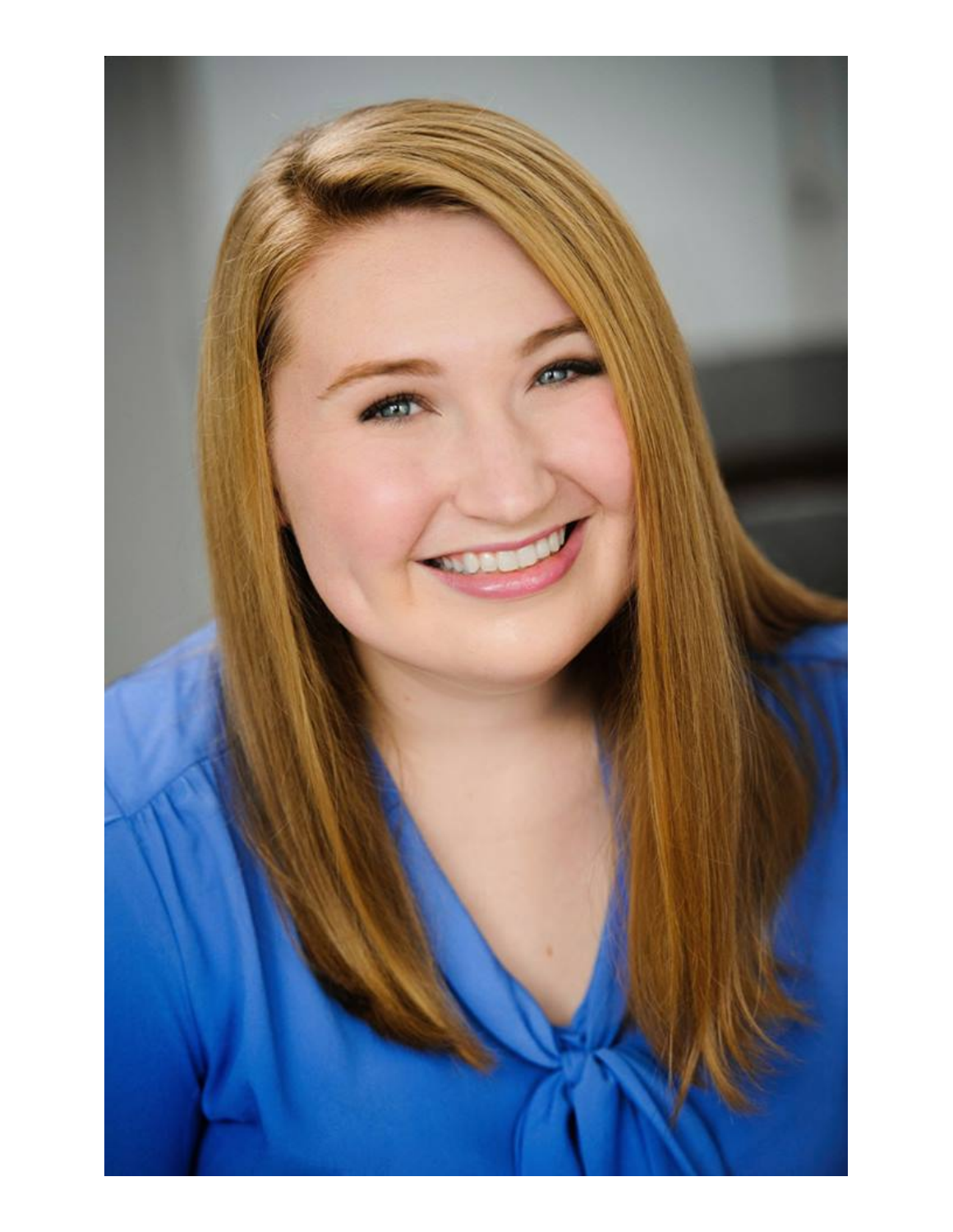